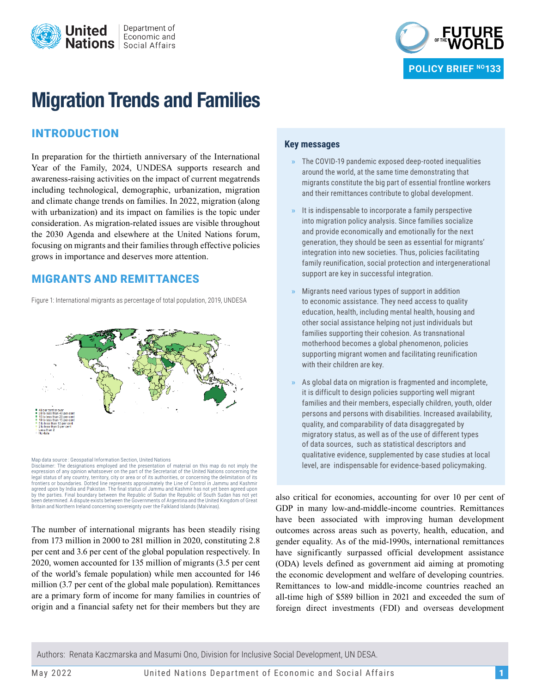



# **Migration Trends and Families**

# INTRODUCTION

In preparation for the thirtieth anniversary of the International Year of the Family, 2024, UNDESA supports research and awareness-raising activities on the impact of current megatrends including technological, demographic, urbanization, migration and climate change trends on families. In 2022, migration (along with urbanization) and its impact on families is the topic under consideration. As migration-related issues are visible throughout the 2030 Agenda and elsewhere at the United Nations forum, focusing on migrants and their families through effective policies grows in importance and deserves more attention.

#### MIGRANTS AND REMITTANCES

Figure 1: International migrants as percentage of total population, 2019, UNDESA



Map data source : Geospatial Information Section, United Nations Disclaimer: The designations employed and the presentation of material on this map do not imply the expression of any opinion whatsoever on the part of the Secretariat of the United Nations concerning the legal status of any country, territory, city or area or of its authorities, or concerning the delimitation of its frontiers or boundaries. Dotted line represents approximately the Line of Control in Jammu and Kashmir agreed upon by India and Pakistan. The final status of Jammu and Kashmir has not yet been agreed upon by the parties. Final boundary between the Republic of Sudan the Republic of South Sudan has not yet been determined. A dispute exists between the Governments of Argentina and the United Kingdom of Great Britain and Northern Ireland concerning sovereignty over the Falkland Islands (Malvinas).

The number of international migrants has been steadily rising from 173 million in 2000 to 281 million in 2020, constituting 2.8 per cent and 3.6 per cent of the global population respectively. In 2020, women accounted for 135 million of migrants (3.5 per cent of the world's female population) while men accounted for 146 million (3.7 per cent of the global male population). Remittances are a primary form of income for many families in countries of origin and a financial safety net for their members but they are

#### **Key messages**

- **»** The COVID-19 pandemic exposed deep-rooted inequalities around the world, at the same time demonstrating that migrants constitute the big part of essential frontline workers and their remittances contribute to global development.
- **»** It is indispensable to incorporate a family perspective into migration policy analysis. Since families socialize and provide economically and emotionally for the next generation, they should be seen as essential for migrants' integration into new societies. Thus, policies facilitating family reunification, social protection and intergenerational support are key in successful integration.
- **»** Migrants need various types of support in addition to economic assistance. They need access to quality education, health, including mental health, housing and other social assistance helping not just individuals but families supporting their cohesion. As transnational motherhood becomes a global phenomenon, policies supporting migrant women and facilitating reunification with their children are key.
- **»** As global data on migration is fragmented and incomplete, it is difficult to design policies supporting well migrant families and their members, especially children, youth, older persons and persons with disabilities. Increased availability, quality, and comparability of data disaggregated by migratory status, as well as of the use of different types of data sources, such as statistical descriptors and qualitative evidence, supplemented by case studies at local level, are indispensable for evidence-based policymaking.

also critical for economies, accounting for over 10 per cent of GDP in many low-and-middle-income countries. Remittances have been associated with improving human development outcomes across areas such as poverty, health, education, and gender equality. As of the mid-1990s, international remittances have significantly surpassed official development assistance (ODA) levels defined as government aid aiming at promoting the economic development and welfare of developing countries. Remittances to low-and middle-income countries reached an all-time high of \$589 billion in 2021 and exceeded the sum of foreign direct investments (FDI) and overseas development

Authors: Renata Kaczmarska and Masumi Ono, Division for Inclusive Social Development, UN DESA.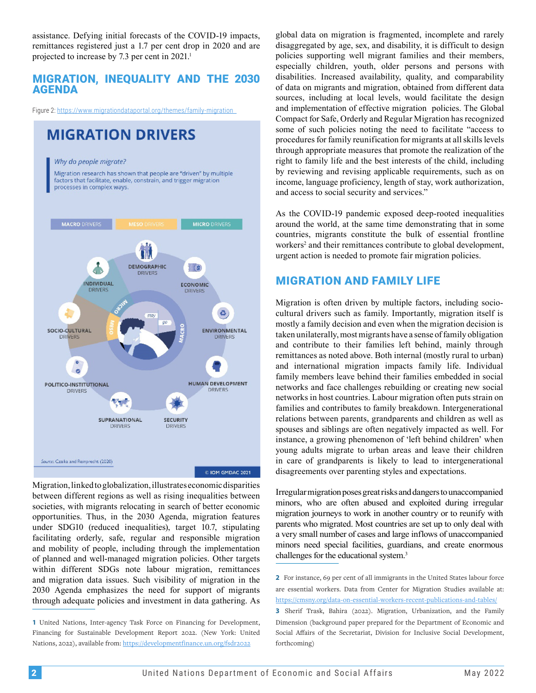assistance. Defying initial forecasts of the COVID-19 impacts, remittances registered just a 1.7 per cent drop in 2020 and are projected to increase by 7.3 per cent in 2021.<sup>1</sup>

#### MIGRATION, INEQUALITY AND THE 2030 AGENDA

Figure 2: https://www.migrationdataportal.org/themes/family-migration

# **MIGRATION DRIVERS**

Why do people migrate?

Migration research has shown that people are "driven" by multiple factors that facilitate, enable, constrain, and trigger migration processes in complex ways.



Migration, linked to globalization, illustrates economic disparities between different regions as well as rising inequalities between societies, with migrants relocating in search of better economic opportunities. Thus, in the 2030 Agenda, migration features under SDG10 (reduced inequalities), target 10.7, stipulating facilitating orderly, safe, regular and responsible migration and mobility of people, including through the implementation of planned and well-managed migration policies. Other targets within different SDGs note labour migration, remittances and migration data issues. Such visibility of migration in the 2030 Agenda emphasizes the need for support of migrants through adequate policies and investment in data gathering. As global data on migration is fragmented, incomplete and rarely disaggregated by age, sex, and disability, it is difficult to design policies supporting well migrant families and their members, especially children, youth, older persons and persons with disabilities. Increased availability, quality, and comparability of data on migrants and migration, obtained from different data sources, including at local levels, would facilitate the design and implementation of effective migration policies. The Global Compact for Safe, Orderly and Regular Migration has recognized some of such policies noting the need to facilitate "access to procedures for family reunification for migrants at all skills levels through appropriate measures that promote the realization of the right to family life and the best interests of the child, including by reviewing and revising applicable requirements, such as on income, language proficiency, length of stay, work authorization, and access to social security and services."

As the COVID-19 pandemic exposed deep-rooted inequalities around the world, at the same time demonstrating that in some countries, migrants constitute the bulk of essential frontline workers<sup>2</sup> and their remittances contribute to global development, urgent action is needed to promote fair migration policies.

#### MIGRATION AND FAMILY LIFE

Migration is often driven by multiple factors, including sociocultural drivers such as family. Importantly, migration itself is mostly a family decision and even when the migration decision is taken unilaterally, most migrants have a sense of family obligation and contribute to their families left behind, mainly through remittances as noted above. Both internal (mostly rural to urban) and international migration impacts family life. Individual family members leave behind their families embedded in social networks and face challenges rebuilding or creating new social networks in host countries. Labour migration often puts strain on families and contributes to family breakdown. Intergenerational relations between parents, grandparents and children as well as spouses and siblings are often negatively impacted as well. For instance, a growing phenomenon of 'left behind children' when young adults migrate to urban areas and leave their children in care of grandparents is likely to lead to intergenerational disagreements over parenting styles and expectations.

Irregular migration poses great risks and dangers to unaccompanied minors, who are often abused and exploited during irregular migration journeys to work in another country or to reunify with parents who migrated. Most countries are set up to only deal with a very small number of cases and large inflows of unaccompanied minors need special facilities, guardians, and create enormous challenges for the educational system.<sup>3</sup>

**<sup>1</sup>** United Nations, Inter-agency Task Force on Financing for Development, Financing for Sustainable Development Report 2022. (New York: United Nations, 2022), available from: https://developmentfinance.un.org/fsdr2022

**<sup>2</sup>** For instance, 69 per cent of all immigrants in the United States labour force are essential workers. Data from Center for Migration Studies available at: https://cmsny.org/data-on-essential-workers-recent-publications-and-tables/

**<sup>3</sup>** Sherif Trask, Bahira (2022). Migration, Urbanization, and the Family Dimension (background paper prepared for the Department of Economic and Social Affairs of the Secretariat, Division for Inclusive Social Development, forthcoming)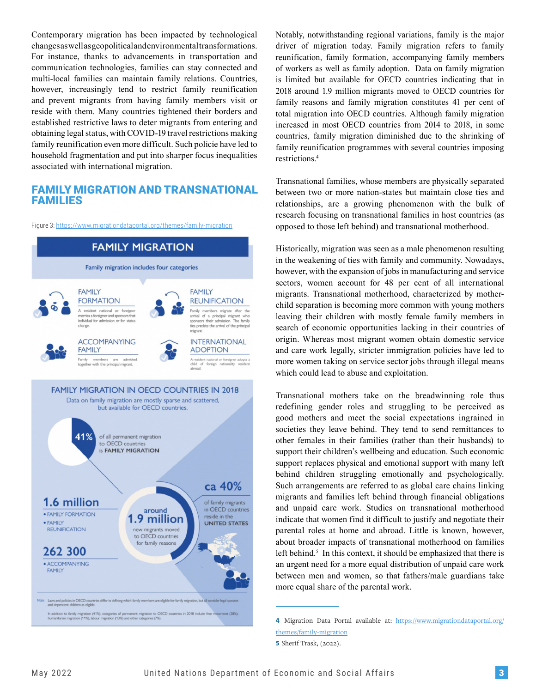Contemporary migration has been impacted by technological changes as well as geopolitical and environmental transformations. For instance, thanks to advancements in transportation and communication technologies, families can stay connected and multi-local families can maintain family relations. Countries, however, increasingly tend to restrict family reunification and prevent migrants from having family members visit or reside with them. Many countries tightened their borders and established restrictive laws to deter migrants from entering and obtaining legal status, with COVID-19 travel restrictions making family reunification even more difficult. Such policie have led to household fragmentation and put into sharper focus inequalities associated with international migration.

#### FAMILY MIGRATION AND TRANSNATIONAL FAMILIES

Figure 3: https://www.migrationdataportal.org/themes/family-migration



Notably, notwithstanding regional variations, family is the major driver of migration today. Family migration refers to family reunification, family formation, accompanying family members of workers as well as family adoption. Data on family migration is limited but available for OECD countries indicating that in 2018 around 1.9 million migrants moved to OECD countries for family reasons and family migration constitutes 41 per cent of total migration into OECD countries. Although family migration increased in most OECD countries from 2014 to 2018, in some countries, family migration diminished due to the shrinking of family reunification programmes with several countries imposing restrictions.4

Transnational families, whose members are physically separated between two or more nation-states but maintain close ties and relationships, are a growing phenomenon with the bulk of research focusing on transnational families in host countries (as opposed to those left behind) and transnational motherhood.

Historically, migration was seen as a male phenomenon resulting in the weakening of ties with family and community. Nowadays, however, with the expansion of jobs in manufacturing and service sectors, women account for 48 per cent of all international migrants. Transnational motherhood, characterized by motherchild separation is becoming more common with young mothers leaving their children with mostly female family members in search of economic opportunities lacking in their countries of origin. Whereas most migrant women obtain domestic service and care work legally, stricter immigration policies have led to more women taking on service sector jobs through illegal means which could lead to abuse and exploitation.

Transnational mothers take on the breadwinning role thus redefining gender roles and struggling to be perceived as good mothers and meet the social expectations ingrained in societies they leave behind. They tend to send remittances to other females in their families (rather than their husbands) to support their children's wellbeing and education. Such economic support replaces physical and emotional support with many left behind children struggling emotionally and psychologically. Such arrangements are referred to as global care chains linking migrants and families left behind through financial obligations and unpaid care work. Studies on transnational motherhood indicate that women find it difficult to justify and negotiate their parental roles at home and abroad. Little is known, however, about broader impacts of transnational motherhood on families left behind.<sup>5</sup> In this context, it should be emphasized that there is an urgent need for a more equal distribution of unpaid care work between men and women, so that fathers/male guardians take more equal share of the parental work.

**<sup>4</sup>** Migration Data Portal available at: https://www.migrationdataportal.org/ themes/family-migration

**<sup>5</sup>** Sherif Trask, (2022).